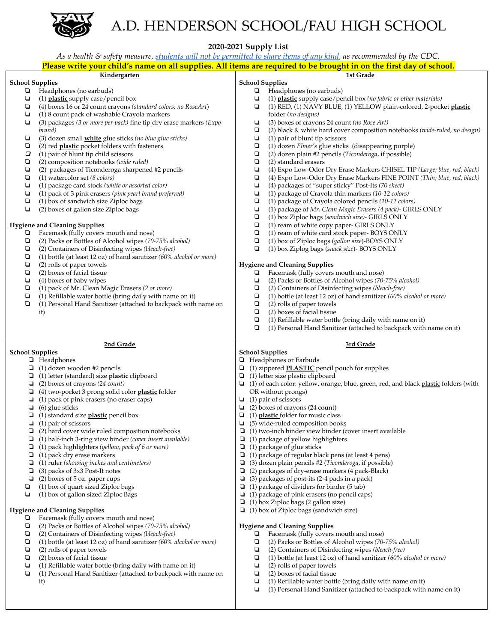

## A.D. HENDERSON SCHOOL/FAU HIGH SCHOOL

**2020-2021 Supply List**

|                        | As a health & safety measure, students will not be permitted to share items of any kind, as recommended by the CDC.   |                                                                                                                     |
|------------------------|-----------------------------------------------------------------------------------------------------------------------|---------------------------------------------------------------------------------------------------------------------|
|                        |                                                                                                                       | Please write your child's name on all supplies. All items are required to be brought in on the first day of school. |
|                        | Kindergarten                                                                                                          | 1st Grade                                                                                                           |
| <b>School Supplies</b> |                                                                                                                       | <b>School Supplies</b>                                                                                              |
| ⋼                      | Headphones (no earbuds)                                                                                               | Headphones (no earbuds)<br>Ч                                                                                        |
| ◘<br>о                 | (1) plastic supply case/pencil box                                                                                    | (1) plastic supply case/pencil box (no fabric or other materials)<br>o<br>o                                         |
| ❏                      | (4) boxes 16 or 24 count crayons (standard colors; no RoseArt)                                                        | (1) RED, (1) NAVY BLUE, (1) YELLOW plain-colored, 2-pocket plastic                                                  |
| ◘                      | (1) 8 count pack of washable Crayola markers<br>(3) packages (3 or more per pack) fine tip dry erase markers ( $Expo$ | folder (no designs)<br>О<br>(3) boxes of crayons 24 count (no Rose Art)                                             |
|                        | brand)                                                                                                                | (2) black & white hard cover composition notebooks (wide-ruled, no design)<br>◘                                     |
| ❏                      | (3) dozen small white glue sticks (no blue glue sticks)                                                               | o<br>(1) pair of blunt tip scissors                                                                                 |
| ❏                      | (2) red <b>plastic</b> pocket folders with fasteners                                                                  | (1) dozen Elmer's glue sticks (disappearing purple)<br>❏                                                            |
| □                      | (1) pair of blunt tip child scissors                                                                                  | ❏<br>(2) dozen plain #2 pencils (Ticonderoga, if possible)                                                          |
| ❏                      | (2) composition notebooks (wide ruled)                                                                                | о<br>(2) standard erasers                                                                                           |
| о                      | (2) packages of Ticonderoga sharpened #2 pencils                                                                      | о<br>(4) Expo Low-Odor Dry Erase Markers CHISEL TIP (Large; blue, red, black)                                       |
| ❏                      | $(1)$ watercolor set $(8 \text{ colors})$                                                                             | о<br>(4) Expo Low-Odor Dry Erase Markers FINE POINT (Thin; blue, red, black)                                        |
| о                      | (1) package card stock (white or assorted color)                                                                      | $\Box$<br>(4) packages of "super sticky" Post-Its (70 sheet)                                                        |
| о                      | (1) pack of 3 pink erasers (pink pearl brand preferred)                                                               | (1) package of Crayola thin markers (10-12 colors)<br>❏                                                             |
| о                      | (1) box of sandwich size Ziploc bags                                                                                  | (1) package of Crayola colored pencils (10-12 colors)<br>o                                                          |
| $\Box$                 | (2) boxes of gallon size Ziploc bags                                                                                  | ❏<br>(1) package of Mr. Clean Magic Erasers (4 pack)- GIRLS ONLY                                                    |
|                        |                                                                                                                       | ❏<br>(1) box Ziploc bags (sandwich size)- GIRLS ONLY                                                                |
|                        | <b>Hygiene and Cleaning Supplies</b>                                                                                  | о<br>(1) ream of white copy paper- GIRLS ONLY                                                                       |
| ⊔                      | Facemask (fully covers mouth and nose)                                                                                | О<br>(1) ream of white card stock paper- BOYS ONLY                                                                  |
| ❏                      | (2) Packs or Bottles of Alcohol wipes (70-75% alcohol)                                                                | О<br>(1) box of Ziploc bags (gallon size)-BOYS ONLY                                                                 |
| ◘                      | (2) Containers of Disinfecting wipes (bleach-free)                                                                    | ❏<br>(1) box Ziplog bags (snack size)- BOYS ONLY                                                                    |
| ❏                      | (1) bottle (at least 12 oz) of hand sanitizer $(60\%$ alcohol or more)                                                |                                                                                                                     |
| ❏                      | (2) rolls of paper towels                                                                                             | <b>Hygiene and Cleaning Supplies</b>                                                                                |
| ❏                      | (2) boxes of facial tissue                                                                                            | Facemask (fully covers mouth and nose)<br>⋼                                                                         |
| ❏                      | (4) boxes of baby wipes                                                                                               | (2) Packs or Bottles of Alcohol wipes (70-75% alcohol)<br>◘                                                         |
| ❏                      | (1) pack of Mr. Clean Magic Erasers (2 or more)                                                                       | (2) Containers of Disinfecting wipes (bleach-free)<br>Q                                                             |
| ❏                      | (1) Refillable water bottle (bring daily with name on it)                                                             | ❏<br>(1) bottle (at least 12 oz) of hand sanitizer $(60\%$ alcohol or more)                                         |
| ◘                      | (1) Personal Hand Sanitizer (attached to backpack with name on                                                        | (2) rolls of paper towels<br>◘                                                                                      |
|                        | it)                                                                                                                   | ❏<br>(2) boxes of facial tissue                                                                                     |
|                        |                                                                                                                       | О<br>(1) Refillable water bottle (bring daily with name on it)                                                      |
|                        |                                                                                                                       | (1) Personal Hand Sanitizer (attached to backpack with name on it)<br>▫                                             |
|                        |                                                                                                                       |                                                                                                                     |
|                        |                                                                                                                       |                                                                                                                     |
|                        | 2nd Grade                                                                                                             | 3rd Grade                                                                                                           |
| <b>School Supplies</b> |                                                                                                                       | <b>School Supplies</b>                                                                                              |
|                        | □ Headphones                                                                                                          | Headphones or Earbuds<br>o.                                                                                         |
|                        | $\Box$ (1) dozen wooden #2 pencils                                                                                    | (1) zippered <b>PLASTIC</b> pencil pouch for supplies<br>o                                                          |
|                        | $\Box$ (1) letter (standard) size <b>plastic</b> clipboard                                                            | (1) letter size plastic clipboard<br>⊔                                                                              |
| Q.                     | (2) boxes of crayons (24 count)                                                                                       | (1) of each color: yellow, orange, blue, green, red, and black plastic folders (with<br>Q                           |
|                        | (4) two-pocket 3 prong solid color plastic folder                                                                     | OR without prongs)                                                                                                  |
| Q.                     | (1) pack of pink erasers (no eraser caps)                                                                             | (1) pair of scissors<br>⊔                                                                                           |
|                        | $\Box$ (6) glue sticks                                                                                                | (2) boxes of crayons (24 count)<br>o                                                                                |
|                        | (1) standard size plastic pencil box                                                                                  | (1) plastic folder for music class                                                                                  |
|                        | (1) pair of scissors                                                                                                  | (5) wide-ruled composition books<br>o                                                                               |
|                        | $\Box$ (2) hard cover wide ruled composition notebooks                                                                | (1) two-inch binder view binder (cover insert available<br>◡                                                        |
|                        | $\Box$ (1) half-inch 3-ring view binder (cover insert available)                                                      | (1) package of yellow highlighters<br>⊔                                                                             |
| ⊔                      | $(1)$ pack highlighters (yellow, pack of 6 or more)                                                                   | $\Box$ (1) package of glue sticks                                                                                   |
| ⊔                      | (1) pack dry erase markers                                                                                            | $\Box$ (1) package of regular black pens (at least 4 pens)                                                          |
| □                      | (1) ruler (showing inches and centimeters)                                                                            | (3) dozen plain pencils #2 (Ticonderoga, if possible)                                                               |
| ❏                      | (3) packs of 3x3 Post-It notes                                                                                        | (2) packages of dry-erase markers (4 pack-Black)                                                                    |
| ❏                      | (2) boxes of 5 oz. paper cups                                                                                         | $\Box$ (3) packages of post-its (2-4 pads in a pack)                                                                |
| ◘                      | (1) box of quart sized Ziploc bags                                                                                    | $\Box$ (1) package of dividers for binder (5 tab)                                                                   |
| ❏                      | (1) box of gallon sized Ziploc Bags                                                                                   | (1) package of pink erasers (no pencil caps)<br>⊔                                                                   |
|                        |                                                                                                                       | $\Box$ (1) box Ziploc bags (2 gallon size)                                                                          |
|                        | <b>Hygiene and Cleaning Supplies</b>                                                                                  | $\Box$ (1) box of Ziploc bags (sandwich size)                                                                       |
| ⊔                      | Facemask (fully covers mouth and nose)                                                                                |                                                                                                                     |
| о                      | (2) Packs or Bottles of Alcohol wipes (70-75% alcohol)                                                                | <b>Hygiene and Cleaning Supplies</b>                                                                                |
| ◘                      | (2) Containers of Disinfecting wipes (bleach-free)                                                                    | Facemask (fully covers mouth and nose)<br>Q                                                                         |
| ❏                      | (1) bottle (at least 12 oz) of hand sanitizer $(60\%$ alcohol or more)                                                | (2) Packs or Bottles of Alcohol wipes (70-75% alcohol)<br>◘                                                         |
| ❏                      | (2) rolls of paper towels                                                                                             | o<br>(2) Containers of Disinfecting wipes (bleach-free)                                                             |
| ◘                      | (2) boxes of facial tissue                                                                                            | (1) bottle (at least 12 oz) of hand sanitizer $(60\%$ alcohol or more)<br>❏                                         |
| ◘                      | (1) Refillable water bottle (bring daily with name on it)                                                             | o<br>(2) rolls of paper towels                                                                                      |
| ❏                      | (1) Personal Hand Sanitizer (attached to backpack with name on                                                        | o<br>(2) boxes of facial tissue                                                                                     |
|                        | it)                                                                                                                   | (1) Refillable water bottle (bring daily with name on it)<br>◘                                                      |
|                        |                                                                                                                       | o<br>(1) Personal Hand Sanitizer (attached to backpack with name on it)                                             |